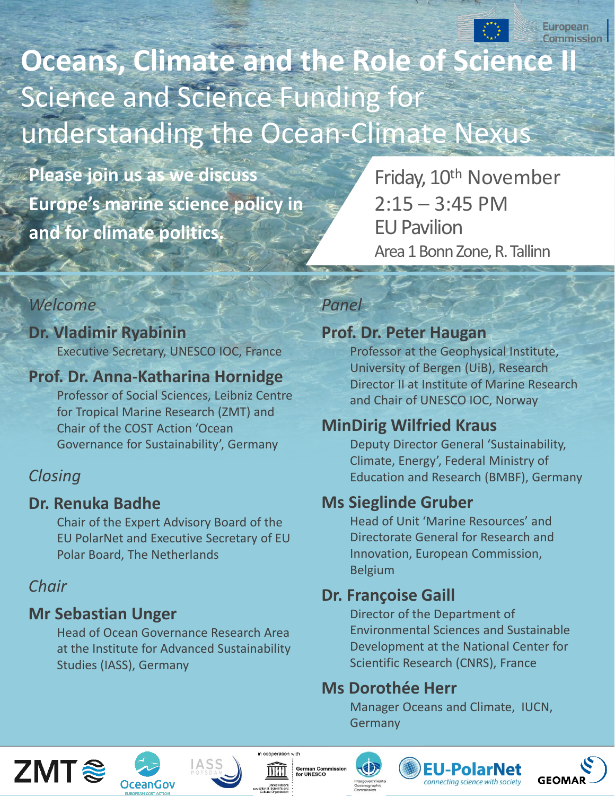

**Oceans, Climate and the Role of Science I** Science and Science Funding for understanding the Ocean-Climate Nexus

**Please join us as we discuss Europe's marine science policy in and for climate politics.** 

Friday, 10<sup>th</sup> November  $2:15 - 3:45$  PM EU Pavilion Area 1 Bonn Zone, R. Tallinn

#### *Welcome*

#### **Dr. Vladimir Ryabinin** Executive Secretary, UNESCO IOC, France

#### **Prof. Dr. Anna-Katharina Hornidge**

Professor of Social Sciences, Leibniz Centre for Tropical Marine Research (ZMT) and Chair of the COST Action 'Ocean Governance for Sustainability', Germany

#### *Closing*

#### **Dr. Renuka Badhe**

Chair of the Expert Advisory Board of the EU PolarNet and Executive Secretary of EU Polar Board, The Netherlands

#### *Chair*

## **Mr Sebastian Unger**

Head of Ocean Governance Research Area at the Institute for Advanced Sustainability Studies (IASS), Germany

#### *Panel*

### **Prof. Dr. Peter Haugan**

Professor at the Geophysical Institute, University of Bergen (UiB), Research Director II at Institute of Marine Research and Chair of UNESCO IOC, Norway

# **MinDirig Wilfried Kraus**

Deputy Director General 'Sustainability, Climate, Energy', Federal Ministry of Education and Research (BMBF), Germany

# **Ms Sieglinde Gruber**

Head of Unit 'Marine Resources' and Directorate General for Research and Innovation, European Commission, Belgium

## **Dr. Françoise Gaill**

Director of the Department of Environmental Sciences and Sustainable Development at the National Center for Scientific Research (CNRS), France

## **Ms Dorothée Herr**

Manager Oceans and Climate, IUCN, Germany





IASS





rman Commissio